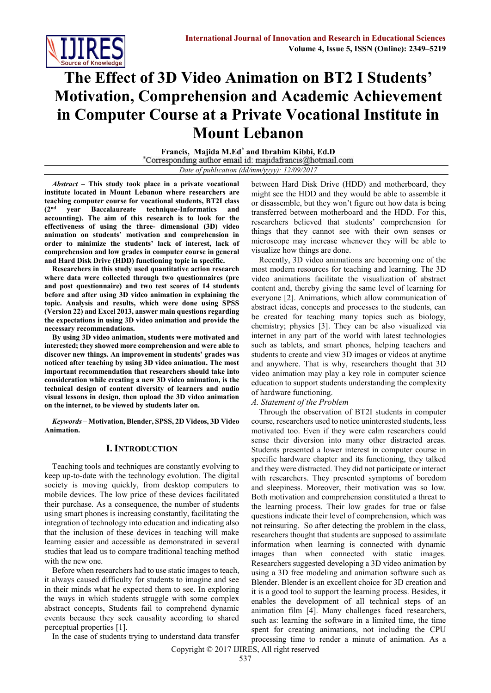

# **The Effect of 3D Video Animation on BT2 I Students' Motivation, Comprehension and Academic Achievement in Computer Course at a Private Vocational Institute in Mount Lebanon**

**Francis, Majida M.Ed\* and Ibrahim Kibbi, Ed.D** *Date of publication (dd/mm/yyyy): 12/09/2017*

*Abstract* **– This study took place in a private vocational institute located in Mount Lebanon where researchers are teaching computer course for vocational students, BT2I class (2nd year Baccalaureate technique-Informatics and accounting). The aim of this research is to look for the effectiveness of using the three- dimensional (3D) video animation on students' motivation and comprehension in order to minimize the students' lack of interest, lack of comprehension and low grades in computer course in general and Hard Disk Drive (HDD) functioning topic in specific.** 

**Researchers in this study used quantitative action research where data were collected through two questionnaires (pre and post questionnaire) and two test scores of 14 students before and after using 3D video animation in explaining the topic. Analysis and results, which were done using SPSS (Version 22) and Excel 2013, answer main questions regarding the expectations in using 3D video animation and provide the necessary recommendations.** 

**By using 3D video animation, students were motivated and interested; they showed more comprehension and were able to discover new things. An improvement in students' grades was noticed after teaching by using 3D video animation. The most important recommendation that researchers should take into consideration while creating a new 3D video animation, is the technical design of content diversity of learners and audio visual lessons in design, then upload the 3D video animation on the internet, to be viewed by students later on.**

*Keywords –* **Motivation, Blender, SPSS, 2D Videos, 3D Video Animation.** 

#### **I. INTRODUCTION**

Teaching tools and techniques are constantly evolving to keep up-to-date with the technology evolution. The digital society is moving quickly, from desktop computers to mobile devices. The low price of these devices facilitated their purchase. As a consequence, the number of students using smart phones is increasing constantly, facilitating the integration of technology into education and indicating also that the inclusion of these devices in teaching will make learning easier and accessible as demonstrated in several studies that lead us to compare traditional teaching method with the new one.

Before when researchers had to use static images to teach, it always caused difficulty for students to imagine and see in their minds what he expected them to see. In exploring the ways in which students struggle with some complex abstract concepts, Students fail to comprehend dynamic events because they seek causality according to shared perceptual properties [1].

In the case of students trying to understand data transfer

between Hard Disk Drive (HDD) and motherboard, they might see the HDD and they would be able to assemble it or disassemble, but they won't figure out how data is being transferred between motherboard and the HDD. For this, researchers believed that students' comprehension for things that they cannot see with their own senses or microscope may increase whenever they will be able to visualize how things are done.

Recently, 3D video animations are becoming one of the most modern resources for teaching and learning. The 3D video animations facilitate the visualization of abstract content and, thereby giving the same level of learning for everyone [2]. Animations, which allow communication of abstract ideas, concepts and processes to the students, can be created for teaching many topics such as biology, chemistry; physics [3]. They can be also visualized via internet in any part of the world with latest technologies such as tablets, and smart phones, helping teachers and students to create and view 3D images or videos at anytime and anywhere. That is why, researchers thought that 3D video animation may play a key role in computer science education to support students understanding the complexity of hardware functioning.

*A. Statement of the Problem*

Through the observation of BT2I students in computer course, researchers used to notice uninterested students, less motivated too. Even if they were calm researchers could sense their diversion into many other distracted areas. Students presented a lower interest in computer course in specific hardware chapter and its functioning, they talked and they were distracted. They did not participate or interact with researchers. They presented symptoms of boredom and sleepiness. Moreover, their motivation was so low. Both motivation and comprehension constituted a threat to the learning process. Their low grades for true or false questions indicate their level of comprehension, which was not reinsuring. So after detecting the problem in the class, researchers thought that students are supposed to assimilate information when learning is connected with dynamic images than when connected with static images. Researchers suggested developing a 3D video animation by using a 3D free modeling and animation software such as Blender. Blender is an excellent choice for 3D creation and it is a good tool to support the learning process. Besides, it enables the development of all technical steps of an animation film [4]. Many challenges faced researchers, such as: learning the software in a limited time, the time spent for creating animations, not including the CPU processing time to render a minute of animation. As a

Copyright © 2017 IJIRES, All right reserved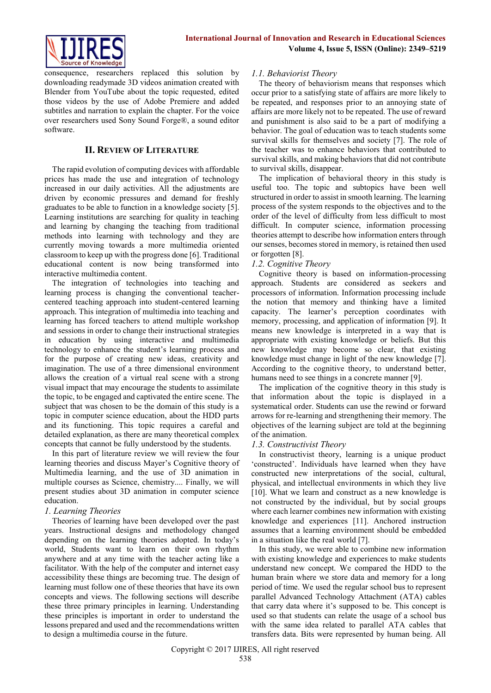

consequence, researchers replaced this solution by downloading readymade 3D videos animation created with Blender from YouTube about the topic requested, edited those videos by the use of Adobe Premiere and added subtitles and narration to explain the chapter. For the voice over researchers used Sony Sound Forge®, a sound editor software.

#### **II. REVIEW OF LITERATURE**

The rapid evolution of computing devices with affordable prices has made the use and integration of technology increased in our daily activities. All the adjustments are driven by economic pressures and demand for freshly graduates to be able to function in a knowledge society [5]. Learning institutions are searching for quality in teaching and learning by changing the teaching from traditional methods into learning with technology and they are currently moving towards a more multimedia oriented classroom to keep up with the progress done [6]. Traditional educational content is now being transformed into interactive multimedia content.

The integration of technologies into teaching and learning process is changing the conventional teachercentered teaching approach into student-centered learning approach. This integration of multimedia into teaching and learning has forced teachers to attend multiple workshop and sessions in order to change their instructional strategies in education by using interactive and multimedia technology to enhance the student's learning process and for the purpose of creating new ideas, creativity and imagination. The use of a three dimensional environment allows the creation of a virtual real scene with a strong visual impact that may encourage the students to assimilate the topic, to be engaged and captivated the entire scene. The subject that was chosen to be the domain of this study is a topic in computer science education, about the HDD parts and its functioning. This topic requires a careful and detailed explanation, as there are many theoretical complex concepts that cannot be fully understood by the students.

In this part of literature review we will review the four learning theories and discuss Mayer's Cognitive theory of Multimedia learning, and the use of 3D animation in multiple courses as Science, chemistry.... Finally, we will present studies about 3D animation in computer science education.

#### *1. Learning Theories*

Theories of learning have been developed over the past years. Instructional designs and methodology changed depending on the learning theories adopted. In today's world, Students want to learn on their own rhythm anywhere and at any time with the teacher acting like a facilitator. With the help of the computer and internet easy accessibility these things are becoming true. The design of learning must follow one of these theories that have its own concepts and views. The following sections will describe these three primary principles in learning. Understanding these principles is important in order to understand the lessons prepared and used and the recommendations written to design a multimedia course in the future.

#### *1.1. Behaviorist Theory*

The theory of behaviorism means that responses which occur prior to a satisfying state of affairs are more likely to be repeated, and responses prior to an annoying state of affairs are more likely not to be repeated. The use of reward and punishment is also said to be a part of modifying a behavior. The goal of education was to teach students some survival skills for themselves and society [7]. The role of the teacher was to enhance behaviors that contributed to survival skills, and making behaviors that did not contribute to survival skills, disappear.

The implication of behavioral theory in this study is useful too. The topic and subtopics have been well structured in order to assist in smooth learning. The learning process of the system responds to the objectives and to the order of the level of difficulty from less difficult to most difficult. In computer science, information processing theories attempt to describe how information enters through our senses, becomes stored in memory, is retained then used or forgotten [8].

#### *1.2. Cognitive Theory*

Cognitive theory is based on information-processing approach. Students are considered as seekers and processors of information. Information processing include the notion that memory and thinking have a limited capacity. The learner's perception coordinates with memory, processing, and application of information [9]. It means new knowledge is interpreted in a way that is appropriate with existing knowledge or beliefs. But this new knowledge may become so clear, that existing knowledge must change in light of the new knowledge [7]. According to the cognitive theory, to understand better, humans need to see things in a concrete manner [9].

The implication of the cognitive theory in this study is that information about the topic is displayed in a systematical order. Students can use the rewind or forward arrows for re-learning and strengthening their memory. The objectives of the learning subject are told at the beginning of the animation.

### *1.3. Constructivist Theory*

In constructivist theory, learning is a unique product 'constructed'. Individuals have learned when they have constructed new interpretations of the social, cultural, physical, and intellectual environments in which they live [10]. What we learn and construct as a new knowledge is not constructed by the individual, but by social groups where each learner combines new information with existing knowledge and experiences [11]. Anchored instruction assumes that a learning environment should be embedded in a situation like the real world [7].

In this study, we were able to combine new information with existing knowledge and experiences to make students understand new concept. We compared the HDD to the human brain where we store data and memory for a long period of time. We used the regular school bus to represent parallel Advanced Technology Attachment (ATA) cables that carry data where it's supposed to be. This concept is used so that students can relate the usage of a school bus with the same idea related to parallel ATA cables that transfers data. Bits were represented by human being. All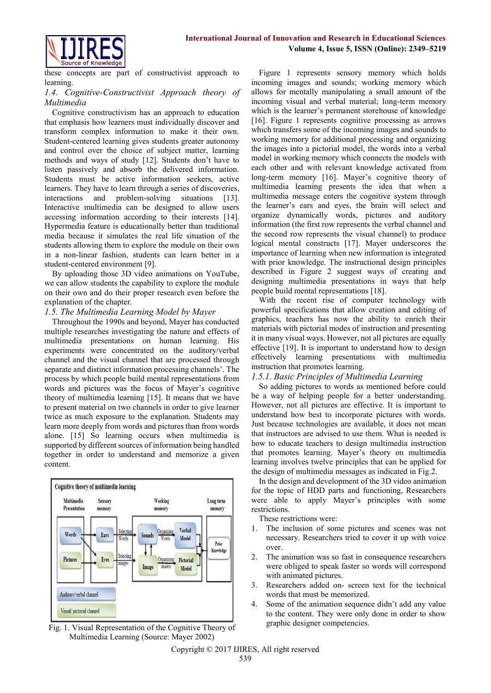

these concepts are part of constructivist approach to learning.

#### *1.4. Cognitive-Constructivist Approach theory of Multimedia*

Cognitive constructivism has an approach to education that emphasis how learners must individually discover and transform complex information to make it their own. Student-centered learning gives students greater autonomy and control over the choice of subject matter, learning methods and ways of study [12]. Students don't have to listen passively and absorb the delivered information. Students must be active information seekers, active learners. They have to learn through a series of discoveries, interactions and problem-solving situations [13]. Interactive multimedia can be designed to allow users accessing information according to their interests [14]. Hypermedia feature is educationally better than traditional media because it simulates the real life situation of the students allowing them to explore the module on their own in a non-linear fashion, students can learn better in a student-centered environment [9].

By uploading those 3D video animations on YouTube, we can allow students the capability to explore the module on their own and do their proper research even before the explanation of the chapter.

#### *1.5. The Multimedia Learning Model by Mayer*

Throughout the 1990s and beyond, Mayer has conducted multiple researches investigating the nature and effects of multimedia presentations on human learning. His experiments were concentrated on the auditory/verbal channel and the visual channel that are processed through separate and distinct information processing channels'. The process by which people build mental representations from words and pictures was the focus of Mayer's cognitive theory of multimedia learning [15]. It means that we have to present material on two channels in order to give learner twice as much exposure to the explanation. Students may learn more deeply from words and pictures than from words alone. [15] So learning occurs when multimedia is supported by different sources of information being handled together in order to understand and memorize a given content.



Fig. 1. Visual Representation of the Cognitive Theory of Multimedia Learning (Source: Mayer 2002)

Figure 1 represents sensory memory which holds incoming images and sounds; working memory which allows for mentally manipulating a small amount of the incoming visual and verbal material; long-term memory which is the learner's permanent storehouse of knowledge [16]. Figure 1 represents cognitive processing as arrows which transfers some of the incoming images and sounds to working memory for additional processing and organizing the images into a pictorial model, the words into a verbal model in working memory which connects the models with each other and with relevant knowledge activated from long-term memory [16]. Mayer's cognitive theory of multimedia learning presents the idea that when a multimedia message enters the cognitive system through the learner's ears and eyes, the brain will select and organize dynamically words, pictures and auditory information (the first row represents the verbal channel and the second row represents the visual channel) to produce logical mental constructs [17]. Mayer underscores the importance of learning when new information is integrated with prior knowledge. The instructional design principles described in Figure 2 suggest ways of creating and designing multimedia presentations in ways that help people build mental representations [18].

With the recent rise of computer technology with powerful specifications that allow creation and editing of graphics, teachers has now the ability to enrich their materials with pictorial modes of instruction and presenting it in many visual ways. However, not all pictures are equally effective [19]. It is important to understand how to design effectively learning presentations with multimedia instruction that promotes learning.

#### *1.5.1. Basic Principles of Multimedia Learning*

So adding pictures to words as mentioned before could be a way of helping people for a better understanding. However, not all pictures are effective. It is important to understand how best to incorporate pictures with words. Just because technologies are available, it does not mean that instructors are advised to use them. What is needed is how to educate teachers to design multimedia instruction that promotes learning. Mayer's theory on multimedia learning involves twelve principles that can be applied for the design of multimedia messages as indicated in Fig.2.

In the design and development of the 3D video animation for the topic of HDD parts and functioning, Researchers were able to apply Mayer's principles with some restrictions.

These restrictions were:

- 1. The inclusion of some pictures and scenes was not necessary. Researchers tried to cover it up with voice over.
- 2. The animation was so fast in consequence researchers were obliged to speak faster so words will correspond with animated pictures.
- 3. Researchers added on- screen text for the technical words that must be memorized.
- 4. Some of the animation sequence didn't add any value to the content. They were only done in order to show graphic designer competencies.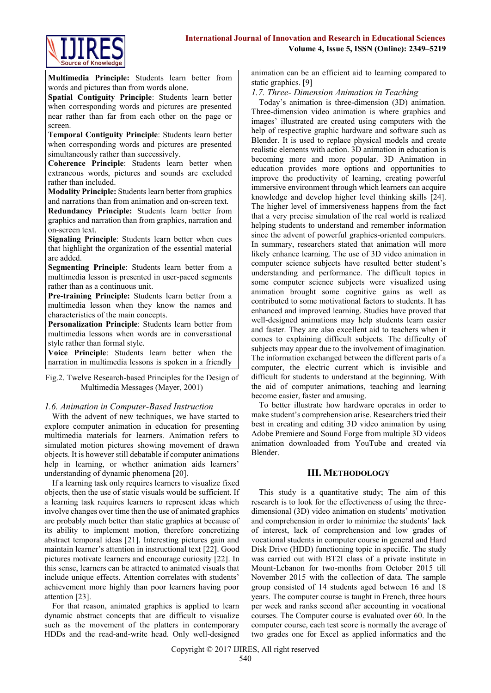

**Multimedia Principle:** Students learn better from words and pictures than from words alone.

**Spatial Contiguity Principle**: Students learn better when corresponding words and pictures are presented near rather than far from each other on the page or screen.

**Temporal Contiguity Principle**: Students learn better when corresponding words and pictures are presented simultaneously rather than successively.

**Coherence Principle**: Students learn better when extraneous words, pictures and sounds are excluded rather than included.

**Modality Principle:** Students learn better from graphics and narrations than from animation and on-screen text.

**Redundancy Principle:** Students learn better from graphics and narration than from graphics, narration and on-screen text.

**Signaling Principle**: Students learn better when cues that highlight the organization of the essential material are added.

**Segmenting Principle**: Students learn better from a multimedia lesson is presented in user-paced segments rather than as a continuous unit.

**Pre-training Principle:** Students learn better from a multimedia lesson when they know the names and characteristics of the main concepts.

**Personalization Principle**: Students learn better from multimedia lessons when words are in conversational style rather than formal style.

**Voice Principle**: Students learn better when the narration in multimedia lessons is spoken in a friendly

**Fig.2.** Twelve Research-based Principles for the Design of Multimedia Messages (Mayer, 2001) g.2. I welve Research-based Principles for the Design of

# 1.6. Animation in Computer-Based Instruction

With the advent of new techniques, we have started to explore computer animation in education for presenting multimedia materials for learners. Animation refers to simulated motion pictures showing movement of drawn objects. It is however still debatable if computer animations help in learning, or whether animation aids learners' understanding of dynamic phenomena [20].

If a learning task only requires learners to visualize fixed objects, then the use of static visuals would be sufficient. If a learning task requires learners to represent ideas which involve changes over time then the use of animated graphics are probably much better than static graphics at because of its ability to implement motion, therefore concretizing abstract temporal ideas [21]. Interesting pictures gain and maintain learner's attention in instructional text [22]. Good pictures motivate learners and encourage curiosity [22]. In this sense, learners can be attracted to animated visuals that include unique effects. Attention correlates with students' achievement more highly than poor learners having poor attention [23].

For that reason, animated graphics is applied to learn dynamic abstract concepts that are difficult to visualize such as the movement of the platters in contemporary HDDs and the read-and-write head. Only well-designed animation can be an efficient aid to learning compared to static graphics. [9]

#### *1.7. Three- Dimension Animation in Teaching*

Today's animation is three-dimension (3D) animation. Three-dimension video animation is where graphics and images' illustrated are created using computers with the help of respective graphic hardware and software such as Blender. It is used to replace physical models and create realistic elements with action. 3D animation in education is becoming more and more popular. 3D Animation in education provides more options and opportunities to improve the productivity of learning, creating powerful immersive environment through which learners can acquire knowledge and develop higher level thinking skills [24]. The higher level of immersiveness happens from the fact that a very precise simulation of the real world is realized helping students to understand and remember information since the advent of powerful graphics-oriented computers. In summary, researchers stated that animation will more likely enhance learning. The use of 3D video animation in computer science subjects have resulted better student's understanding and performance. The difficult topics in some computer science subjects were visualized using animation brought some cognitive gains as well as contributed to some motivational factors to students. It has enhanced and improved learning. Studies have proved that well-designed animations may help students learn easier and faster. They are also excellent aid to teachers when it comes to explaining difficult subjects. The difficulty of subjects may appear due to the involvement of imagination. The information exchanged between the different parts of a computer, the electric current which is invisible and difficult for students to understand at the beginning. With the aid of computer animations, teaching and learning become easier, faster and amusing.

To better illustrate how hardware operates in order to make student's comprehension arise. Researchers tried their best in creating and editing 3D video animation by using Adobe Premiere and Sound Forge from multiple 3D videos animation downloaded from YouTube and created via Blender.

#### **III. METHODOLOGY**

This study is a quantitative study; The aim of this research is to look for the effectiveness of using the threedimensional (3D) video animation on students' motivation and comprehension in order to minimize the students' lack of interest, lack of comprehension and low grades of vocational students in computer course in general and Hard Disk Drive (HDD) functioning topic in specific. The study was carried out with BT2I class of a private institute in Mount-Lebanon for two-months from October 2015 till November 2015 with the collection of data. The sample group consisted of 14 students aged between 16 and 18 years. The computer course is taught in French, three hours per week and ranks second after accounting in vocational courses. The Computer course is evaluated over 60. In the computer course, each test score is normally the average of two grades one for Excel as applied informatics and the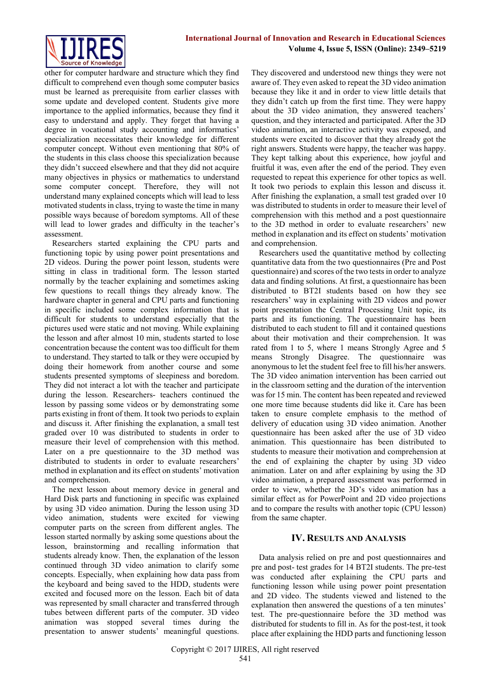other for computer hardware and structure which they find difficult to comprehend even though some computer basics must be learned as prerequisite from earlier classes with some update and developed content. Students give more importance to the applied informatics, because they find it easy to understand and apply. They forget that having a degree in vocational study accounting and informatics' specialization necessitates their knowledge for different computer concept. Without even mentioning that 80% of the students in this class choose this specialization because they didn't succeed elsewhere and that they did not acquire many objectives in physics or mathematics to understand some computer concept. Therefore, they will not understand many explained concepts which will lead to less motivated students in class, trying to waste the time in many possible ways because of boredom symptoms. All of these will lead to lower grades and difficulty in the teacher's assessment.

Researchers started explaining the CPU parts and functioning topic by using power point presentations and 2D videos. During the power point lesson, students were sitting in class in traditional form. The lesson started normally by the teacher explaining and sometimes asking few questions to recall things they already know. The hardware chapter in general and CPU parts and functioning in specific included some complex information that is difficult for students to understand especially that the pictures used were static and not moving. While explaining the lesson and after almost 10 min, students started to lose concentration because the content was too difficult for them to understand. They started to talk or they were occupied by doing their homework from another course and some students presented symptoms of sleepiness and boredom. They did not interact a lot with the teacher and participate during the lesson. Researchers- teachers continued the lesson by passing some videos or by demonstrating some parts existing in front of them. It took two periods to explain and discuss it. After finishing the explanation, a small test graded over 10 was distributed to students in order to measure their level of comprehension with this method. Later on a pre questionnaire to the 3D method was distributed to students in order to evaluate researchers' method in explanation and its effect on students' motivation and comprehension.

The next lesson about memory device in general and Hard Disk parts and functioning in specific was explained by using 3D video animation. During the lesson using 3D video animation, students were excited for viewing computer parts on the screen from different angles. The lesson started normally by asking some questions about the lesson, brainstorming and recalling information that students already know. Then, the explanation of the lesson continued through 3D video animation to clarify some concepts. Especially, when explaining how data pass from the keyboard and being saved to the HDD, students were excited and focused more on the lesson. Each bit of data was represented by small character and transferred through tubes between different parts of the computer. 3D video animation was stopped several times during the presentation to answer students' meaningful questions.

They discovered and understood new things they were not aware of. They even asked to repeat the 3D video animation because they like it and in order to view little details that they didn't catch up from the first time. They were happy about the 3D video animation, they answered teachers' question, and they interacted and participated. After the 3D video animation, an interactive activity was exposed, and students were excited to discover that they already got the right answers. Students were happy, the teacher was happy. They kept talking about this experience, how joyful and fruitful it was, even after the end of the period. They even requested to repeat this experience for other topics as well. It took two periods to explain this lesson and discuss it. After finishing the explanation, a small test graded over 10 was distributed to students in order to measure their level of comprehension with this method and a post questionnaire to the 3D method in order to evaluate researchers' new method in explanation and its effect on students' motivation and comprehension.

Researchers used the quantitative method by collecting quantitative data from the two questionnaires (Pre and Post questionnaire) and scores of the two tests in order to analyze data and finding solutions. At first, a questionnaire has been distributed to BT2I students based on how they see researchers' way in explaining with 2D videos and power point presentation the Central Processing Unit topic, its parts and its functioning. The questionnaire has been distributed to each student to fill and it contained questions about their motivation and their comprehension. It was rated from 1 to 5, where 1 means Strongly Agree and 5 means Strongly Disagree. The questionnaire was anonymous to let the student feel free to fill his/her answers. The 3D video animation intervention has been carried out in the classroom setting and the duration of the intervention was for 15 min. The content has been repeated and reviewed one more time because students did like it. Care has been taken to ensure complete emphasis to the method of delivery of education using 3D video animation. Another questionnaire has been asked after the use of 3D video animation. This questionnaire has been distributed to students to measure their motivation and comprehension at the end of explaining the chapter by using 3D video animation. Later on and after explaining by using the 3D video animation, a prepared assessment was performed in order to view, whether the 3D's video animation has a similar effect as for PowerPoint and 2D video projections and to compare the results with another topic (CPU lesson) from the same chapter.

#### **IV. RESULTS AND ANALYSIS**

Data analysis relied on pre and post questionnaires and pre and post- test grades for 14 BT2I students. The pre-test was conducted after explaining the CPU parts and functioning lesson while using power point presentation and 2D video. The students viewed and listened to the explanation then answered the questions of a ten minutes' test. The pre-questionnaire before the 3D method was distributed for students to fill in. As for the post-test, it took place after explaining the HDD parts and functioning lesson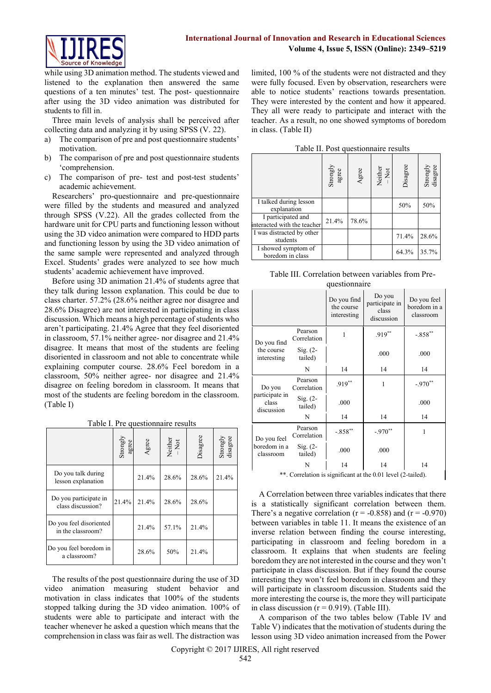

while using 3D animation method. The students viewed and listened to the explanation then answered the same questions of a ten minutes' test. The post- questionnaire after using the 3D video animation was distributed for students to fill in.

Three main levels of analysis shall be perceived after collecting data and analyzing it by using SPSS (V. 22).

- a) The comparison of pre and post questionnaire students' motivation.
- b) The comparison of pre and post questionnaire students 'comprehension.
- c) The comparison of pre- test and post-test students' academic achievement.

Researchers' pro-questionnaire and pre-questionnaire were filled by the students and measured and analyzed through SPSS (V.22). All the grades collected from the hardware unit for CPU parts and functioning lesson without using the 3D video animation were compared to HDD parts and functioning lesson by using the 3D video animation of the same sample were represented and analyzed through Excel. Students' grades were analyzed to see how much students' academic achievement have improved.

Before using 3D animation 21.4% of students agree that they talk during lesson explanation. This could be due to class charter. 57.2% (28.6% neither agree nor disagree and 28.6% Disagree) are not interested in participating in class discussion. Which means a high percentage of students who aren't participating. 21.4% Agree that they feel disoriented in classroom, 57.1% neither agree- nor disagree and 21.4% disagree. It means that most of the students are feeling disoriented in classroom and not able to concentrate while explaining computer course. 28.6% Feel boredom in a classroom, 50% neither agree- nor disagree and 21.4% disagree on feeling boredom in classroom. It means that most of the students are feeling boredom in the classroom. (Table I)

Table I. Pre questionnaire results

|                                              | Strongly<br>agree | Agree | Neither<br>-Not | Disagree | Strongly<br>disagree |
|----------------------------------------------|-------------------|-------|-----------------|----------|----------------------|
| Do you talk during<br>lesson explanation     |                   | 21.4% | 28.6%           | 28.6%    | 21.4%                |
| Do you participate in<br>class discussion?   | 21.4%             | 21.4% | 28.6%           | 28.6%    |                      |
| Do you feel disoriented<br>in the classroom? |                   | 21.4% | 57.1%           | 21.4%    |                      |
| Do you feel boredom in<br>a classroom?       |                   | 28.6% | 50%             | 21.4%    |                      |

The results of the post questionnaire during the use of 3D video animation measuring student behavior and motivation in class indicates that 100% of the students stopped talking during the 3D video animation. 100% of students were able to participate and interact with the teacher whenever he asked a question which means that the comprehension in class was fair as well. The distraction was limited, 100 % of the students were not distracted and they were fully focused. Even by observation, researchers were able to notice students' reactions towards presentation. They were interested by the content and how it appeared. They all were ready to participate and interact with the teacher. As a result, no one showed symptoms of boredom in class. (Table II)

|                                                   | Strongly<br>agree | Agree | Neither<br>-Not | Disagree | Strongly<br>disagree |
|---------------------------------------------------|-------------------|-------|-----------------|----------|----------------------|
| I talked during lesson<br>explanation             |                   |       |                 | 50%      | 50%                  |
| I participated and<br>interacted with the teacher | 21.4%             | 78.6% |                 |          |                      |
| I was distracted by other<br>students             |                   |       |                 | 71.4%    | 28.6%                |
| I showed symptom of<br>boredom in class           |                   |       |                 | 64.3%    | 35.7%                |

| Table III. Correlation between variables from Pre- |               |  |  |
|----------------------------------------------------|---------------|--|--|
|                                                    | questionnaire |  |  |

|                                       |                        | Do you find<br>the course<br>interesting | Do you<br>participate in<br>class<br>discussion | Do you feel<br>boredom in a<br>classroom |
|---------------------------------------|------------------------|------------------------------------------|-------------------------------------------------|------------------------------------------|
| Do you find                           | Pearson<br>Correlation | 1                                        | $.919**$                                        | $-.858**$                                |
| the course<br>interesting             | $Sig. (2-$<br>tailed)  |                                          | .000                                            | .000                                     |
|                                       | N                      | 14                                       | 14                                              | 14                                       |
| Do you                                | Pearson<br>Correlation | $.919**$                                 | 1                                               | $-.970**$                                |
| participate in<br>class<br>discussion | $Sig. (2-$<br>tailed)  | .000                                     |                                                 | .000                                     |
|                                       | N                      | 14                                       | 14                                              | 14                                       |
| Do you feel                           | Pearson<br>Correlation | $-.858**$                                | $-.970**$                                       | 1                                        |
| boredom in a<br>classroom             | $Sig. (2-$<br>tailed)  | .000                                     | .000                                            |                                          |
|                                       | N                      | 14                                       | 14                                              | 14                                       |

\*\*. Correlation is significant at the 0.01 level (2-tailed).

A Correlation between three variables indicates that there is a statistically significant correlation between them. There's a negative correlation ( $r = -0.858$ ) and ( $r = -0.970$ ) between variables in table 11. It means the existence of an inverse relation between finding the course interesting, participating in classroom and feeling boredom in a classroom. It explains that when students are feeling boredom they are not interested in the course and they won't participate in class discussion. But if they found the course interesting they won't feel boredom in classroom and they will participate in classroom discussion. Students said the more interesting the course is, the more they will participate in class discussion  $(r = 0.919)$ . (Table III).

A comparison of the two tables below (Table IV and Table V) indicates that the motivation of students during the lesson using 3D video animation increased from the Power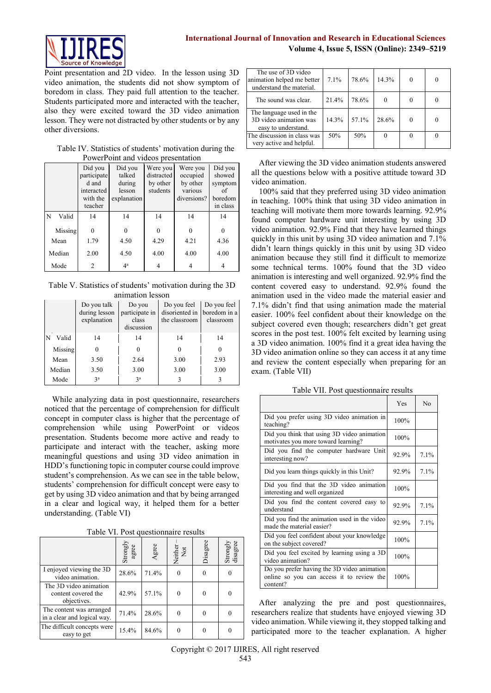

Point presentation and 2D video. In the lesson using 3D video animation, the students did not show symptom of boredom in class. They paid full attention to the teacher. Students participated more and interacted with the teacher, also they were excited toward the 3D video animation lesson. They were not distracted by other students or by any other diversions.

#### Table IV. Statistics of students' motivation during the PowerPoint and videos presentation

|            | Did you<br>participate | Did you<br>talked | Were you<br>distracted | Were you<br>occupied | Did you<br>showed   |
|------------|------------------------|-------------------|------------------------|----------------------|---------------------|
|            | d and                  | during            | by other               | by other             | symptom             |
|            | interacted             | lesson            | students               | various              | οf                  |
|            | with the<br>teacher    | explanation       |                        | diversions?          | boredom<br>in class |
| N<br>Valid | 14                     | 14                | 14                     | 14                   | 14                  |
| Missing    | $\theta$               | $\Omega$          | $\theta$               | 0                    | $\Omega$            |
| Mean       | 1.79                   | 4.50              | 4.29                   | 4.21                 | 4.36                |
| Median     | 2.00                   | 4.50              | 4.00                   | 4.00                 | 4.00                |
| Mode       | 2                      | 4 <sup>a</sup>    | 4                      | 4                    | 4                   |

Table V. Statistics of students' motivation during the 3D animation lesson

|         | Do you talk<br>during lesson<br>explanation | Do you<br>participate in<br>class<br>discussion | Do you feel<br>disoriented in<br>the classroom | Do you feel<br>boredom in a<br>classroom |
|---------|---------------------------------------------|-------------------------------------------------|------------------------------------------------|------------------------------------------|
| Valid   | 14                                          | 14                                              | 14                                             | 14                                       |
| Missing | 0                                           | 0                                               | 0                                              | 0                                        |
| Mean    | 3.50                                        | 2.64                                            | 3.00                                           | 2.93                                     |
| Median  | 3.50                                        | 3.00                                            | 3.00                                           | 3.00                                     |
| Mode    | 3 <sup>a</sup>                              | 3 <sup>a</sup>                                  |                                                | 3                                        |

While analyzing data in post questionnaire, researchers noticed that the percentage of comprehension for difficult concept in computer class is higher that the percentage of comprehension while using PowerPoint or videos presentation. Students become more active and ready to participate and interact with the teacher, asking more meaningful questions and using 3D video animation in HDD's functioning topic in computer course could improve student's comprehension. As we can see in the table below, students' comprehension for difficult concept were easy to get by using 3D video animation and that by being arranged in a clear and logical way, it helped them for a better understanding. (Table VI)

Table VI. Post questionnaire results

|                                                              | Strongly<br>agree | Agree | Neither<br>Not | Disagree | Strongly<br>disagree |
|--------------------------------------------------------------|-------------------|-------|----------------|----------|----------------------|
| I enjoyed viewing the 3D<br>video animation.                 | 28.6%             | 71.4% |                |          |                      |
| The 3D video animation<br>content covered the<br>objectives. | 42.9%             | 57.1% | $\theta$       |          |                      |
| The content was arranged<br>in a clear and logical way.      | 71.4%             | 28.6% | 0              |          |                      |
| The difficult concepts were<br>easy to get                   | 15.4%             | 84.6% |                |          |                      |

| The use of 3D video<br>animation helped me better<br>understand the material. | 7.1%  | 78.6% | 14.3% |   |  |
|-------------------------------------------------------------------------------|-------|-------|-------|---|--|
| The sound was clear.                                                          | 21.4% | 78.6% |       |   |  |
| The language used in the<br>3D video animation was<br>easy to understand.     | 14.3% | 57.1% | 28.6% | 0 |  |
| The discussion in class was<br>very active and helpful.                       | 50%   | 50%   |       |   |  |

After viewing the 3D video animation students answered all the questions below with a positive attitude toward 3D video animation.

100% said that they preferred using 3D video animation in teaching. 100% think that using 3D video animation in teaching will motivate them more towards learning. 92.9% found computer hardware unit interesting by using 3D video animation. 92.9% Find that they have learned things quickly in this unit by using 3D video animation and 7.1% didn't learn things quickly in this unit by using 3D video animation because they still find it difficult to memorize some technical terms. 100% found that the 3D video animation is interesting and well organized. 92.9% find the content covered easy to understand. 92.9% found the animation used in the video made the material easier and 7.1% didn't find that using animation made the material easier. 100% feel confident about their knowledge on the subject covered even though; researchers didn't get great scores in the post test. 100% felt excited by learning using a 3D video animation. 100% find it a great idea having the 3D video animation online so they can access it at any time and review the content especially when preparing for an exam. (Table VII)

Table VII. Post questionnaire results

|                                                                                                      | Yes   | No   |
|------------------------------------------------------------------------------------------------------|-------|------|
| Did you prefer using 3D video animation in<br>teaching?                                              | 100%  |      |
| Did you think that using 3D video animation<br>motivates you more toward learning?                   | 100%  |      |
| Did you find the computer hardware Unit<br>interesting now?                                          | 92.9% | 7.1% |
| Did you learn things quickly in this Unit?                                                           | 92.9% | 7.1% |
| Did you find that the 3D video animation<br>interesting and well organized                           | 100%  |      |
| Did you find the content covered easy to<br>understand                                               | 92.9% | 7.1% |
| Did you find the animation used in the video<br>made the material easier?                            | 92.9% | 7.1% |
| Did you feel confident about your knowledge<br>on the subject covered?                               | 100%  |      |
| Did you feel excited by learning using a 3D<br>video animation?                                      | 100%  |      |
| Do you prefer having the 3D video animation<br>online so you can access it to review the<br>content? | 100%  |      |

After analyzing the pre and post questionnaires, researchers realize that students have enjoyed viewing 3D video animation. While viewing it, they stopped talking and participated more to the teacher explanation. A higher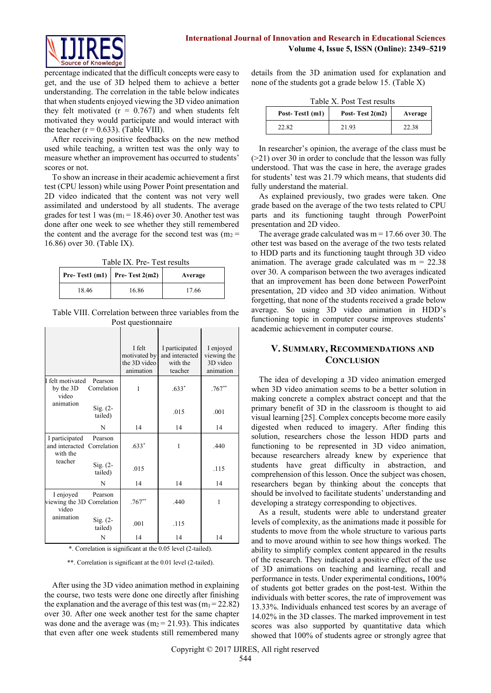

percentage indicated that the difficult concepts were easy to get, and the use of 3D helped them to achieve a better understanding. The correlation in the table below indicates that when students enjoyed viewing the 3D video animation they felt motivated  $(r = 0.767)$  and when students felt motivated they would participate and would interact with the teacher  $(r = 0.633)$ . (Table VIII).

After receiving positive feedbacks on the new method used while teaching, a written test was the only way to measure whether an improvement has occurred to students' scores or not.

To show an increase in their academic achievement a first test (CPU lesson) while using Power Point presentation and 2D video indicated that the content was not very well assimilated and understood by all students. The average grades for test 1 was  $(m_1 = 18.46)$  over 30. Another test was done after one week to see whether they still remembered the content and the average for the second test was  $(m_2 =$ 16.86) over 30. (Table IX).

Table IX. Pre- Test results

| Pre-Test1 (m1)   Pre-Test $2(m2)$ |       | Average |
|-----------------------------------|-------|---------|
| 18.46                             | 16.86 | 17.66   |

Table VIII. Correlation between three variables from the Post questionnaire

|                                                  |                        | I felt<br>motivated by<br>the 3D video<br>animation | I participated<br>and interacted<br>with the<br>teacher | I enjoyed<br>viewing the<br>3D video<br>animation |
|--------------------------------------------------|------------------------|-----------------------------------------------------|---------------------------------------------------------|---------------------------------------------------|
| I felt motivated<br>by the 3D<br>video           | Pearson<br>Correlation | 1                                                   | $.633*$                                                 | $.767**$                                          |
| animation                                        | $Sig. (2-$<br>tailed)  |                                                     | .015                                                    | .001                                              |
|                                                  | N                      | 14                                                  | 14                                                      | 14                                                |
| I participated<br>and interacted<br>with the     | Pearson<br>Correlation | $.633*$                                             | 1                                                       | .440                                              |
| teacher                                          | $Sig. (2-$<br>tailed)  | .015                                                |                                                         | .115                                              |
|                                                  | N                      | 14                                                  | 14                                                      | 14                                                |
| I enjoyed<br>viewing the 3D Correlation<br>video | Pearson                | $.767**$                                            | .440                                                    | 1                                                 |
| animation                                        | $Sig. (2-$<br>tailed)  | .001                                                | .115                                                    |                                                   |
|                                                  | N                      | 14                                                  | 14                                                      | 14                                                |

\*. Correlation is significant at the 0.05 level (2-tailed).

\*\*. Correlation is significant at the 0.01 level (2-tailed).

After using the 3D video animation method in explaining the course, two tests were done one directly after finishing the explanation and the average of this test was  $(m_1 = 22.82)$ over 30. After one week another test for the same chapter was done and the average was  $(m_2 = 21.93)$ . This indicates that even after one week students still remembered many

details from the 3D animation used for explanation and none of the students got a grade below 15. (Table X)

Table X. Post Test results

| Post-Test1 (m1) | Post-Test $2(m2)$ | Average |
|-----------------|-------------------|---------|
| 22.82           | 21.93             | 22.38   |

In researcher's opinion, the average of the class must be  $(>= 21)$  over 30 in order to conclude that the lesson was fully understood. That was the case in here, the average grades for students' test was 21.79 which means, that students did fully understand the material.

As explained previously, two grades were taken. One grade based on the average of the two tests related to CPU parts and its functioning taught through PowerPoint presentation and 2D video.

The average grade calculated was  $m = 17.66$  over 30. The other test was based on the average of the two tests related to HDD parts and its functioning taught through 3D video animation. The average grade calculated was  $m = 22.38$ over 30. A comparison between the two averages indicated that an improvement has been done between PowerPoint presentation, 2D video and 3D video animation. Without forgetting, that none of the students received a grade below average. So using 3D video animation in HDD's functioning topic in computer course improves students' academic achievement in computer course.

# **V. SUMMARY, RECOMMENDATIONS AND CONCLUSION**

The idea of developing a 3D video animation emerged when 3D video animation seems to be a better solution in making concrete a complex abstract concept and that the primary benefit of 3D in the classroom is thought to aid visual learning [25]. Complex concepts become more easily digested when reduced to imagery. After finding this solution, researchers chose the lesson HDD parts and functioning to be represented in 3D video animation, because researchers already knew by experience that students have great difficulty in abstraction, and comprehension of this lesson. Once the subject was chosen, researchers began by thinking about the concepts that should be involved to facilitate students' understanding and developing a strategy corresponding to objectives.

As a result, students were able to understand greater levels of complexity, as the animations made it possible for students to move from the whole structure to various parts and to move around within to see how things worked. The ability to simplify complex content appeared in the results of the research. They indicated a positive effect of the use of 3D animations on teaching and learning, recall and performance in tests. Under experimental conditions**,** 100% of students got better grades on the post-test. Within the individuals with better scores, the rate of improvement was 13.33%. Individuals enhanced test scores by an average of 14.02% in the 3D classes. The marked improvement in test scores was also supported by quantitative data which showed that 100% of students agree or strongly agree that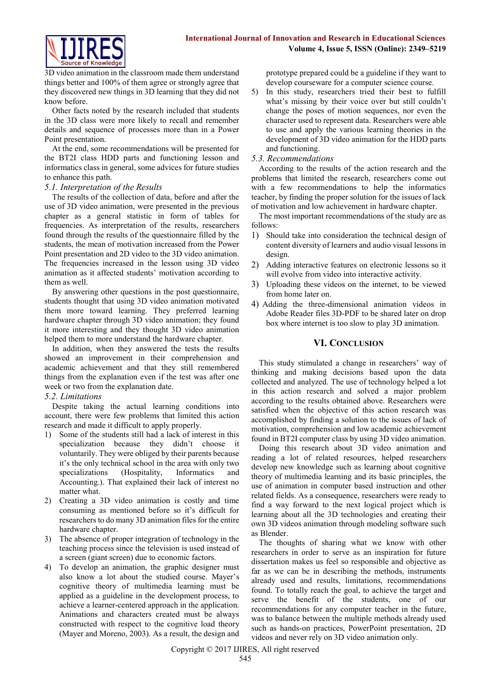

3D video animation in the classroom made them understand things better and 100% of them agree or strongly agree that they discovered new things in 3D learning that they did not know before.

Other facts noted by the research included that students in the 3D class were more likely to recall and remember details and sequence of processes more than in a Power Point presentation.

At the end, some recommendations will be presented for the BT2I class HDD parts and functioning lesson and informatics class in general, some advices for future studies to enhance this path.

#### *5.1. Interpretation of the Results*

The results of the collection of data, before and after the use of 3D video animation, were presented in the previous chapter as a general statistic in form of tables for frequencies. As interpretation of the results, researchers found through the results of the questionnaire filled by the students, the mean of motivation increased from the Power Point presentation and 2D video to the 3D video animation. The frequencies increased in the lesson using 3D video animation as it affected students' motivation according to them as well.

By answering other questions in the post questionnaire, students thought that using 3D video animation motivated them more toward learning. They preferred learning hardware chapter through 3D video animation; they found it more interesting and they thought 3D video animation helped them to more understand the hardware chapter.

In addition, when they answered the tests the results showed an improvement in their comprehension and academic achievement and that they still remembered things from the explanation even if the test was after one week or two from the explanation date.

#### *5.2. Limitations*

Despite taking the actual learning conditions into account, there were few problems that limited this action research and made it difficult to apply properly.

- 1) Some of the students still had a lack of interest in this specialization because they didn't choose it voluntarily. They were obliged by their parents because it's the only technical school in the area with only two specializations (Hospitality, Informatics and Accounting.). That explained their lack of interest no matter what.
- 2) Creating a 3D video animation is costly and time consuming as mentioned before so it's difficult for researchers to do many 3D animation files for the entire hardware chapter.
- 3) The absence of proper integration of technology in the teaching process since the television is used instead of a screen (giant screen) due to economic factors.
- 4) To develop an animation, the graphic designer must also know a lot about the studied course. Mayer's cognitive theory of multimedia learning must be applied as a guideline in the development process, to achieve a learner-centered approach in the application. Animations and characters created must be always constructed with respect to the cognitive load theory (Mayer and Moreno, 2003). As a result, the design and

prototype prepared could be a guideline if they want to develop courseware for a computer science course.

5) In this study, researchers tried their best to fulfill what's missing by their voice over but still couldn't change the poses of motion sequences, nor even the character used to represent data. Researchers were able to use and apply the various learning theories in the development of 3D video animation for the HDD parts and functioning.

#### *5.3. Recommendations*

According to the results of the action research and the problems that limited the research, researchers come out with a few recommendations to help the informatics teacher, by finding the proper solution for the issues of lack of motivation and low achievement in hardware chapter.

The most important recommendations of the study are as follows:

- 1) Should take into consideration the technical design of content diversity of learners and audio visual lessons in design.
- 2) Adding interactive features on electronic lessons so it will evolve from video into interactive activity.
- 3) Uploading these videos on the internet, to be viewed from home later on.
- 4) Adding the three-dimensional animation videos in Adobe Reader files 3D-PDF to be shared later on drop box where internet is too slow to play 3D animation.

## **VI. CONCLUSION**

This study stimulated a change in researchers' way of thinking and making decisions based upon the data collected and analyzed. The use of technology helped a lot in this action research and solved a major problem according to the results obtained above. Researchers were satisfied when the objective of this action research was accomplished by finding a solution to the issues of lack of motivation, comprehension and low academic achievement found in BT2I computer class by using 3D video animation.

Doing this research about 3D video animation and reading a lot of related resources, helped researchers develop new knowledge such as learning about cognitive theory of multimedia learning and its basic principles, the use of animation in computer based instruction and other related fields. As a consequence, researchers were ready to find a way forward to the next logical project which is learning about all the 3D technologies and creating their own 3D videos animation through modeling software such as Blender.

The thoughts of sharing what we know with other researchers in order to serve as an inspiration for future dissertation makes us feel so responsible and objective as far as we can be in describing the methods, instruments already used and results, limitations, recommendations found. To totally reach the goal, to achieve the target and serve the benefit of the students, one of our recommendations for any computer teacher in the future, was to balance between the multiple methods already used such as hands-on practices, PowerPoint presentation, 2D videos and never rely on 3D video animation only.